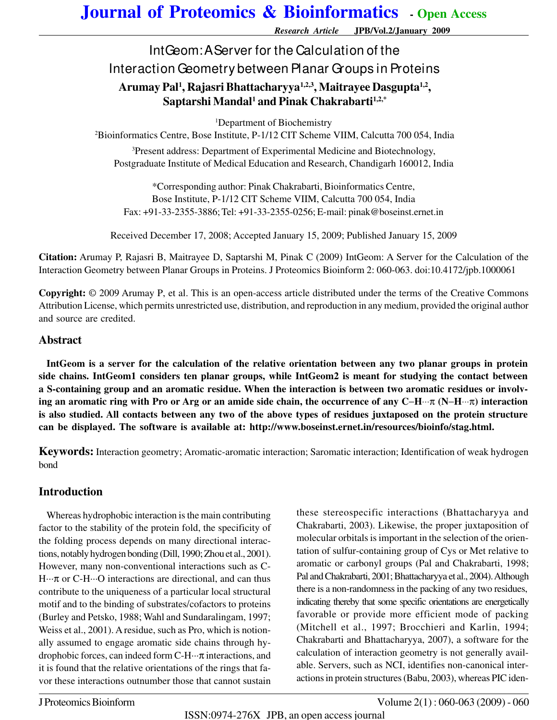*Research Article* **JPB/Vol.2/January 2009**

## IntGeom: A Server for the Calculation of the Interaction Geometry between Planar Groups in Proteins **Arumay Pal<sup>1</sup> , Rajasri Bhattacharyya1,2,3, Maitrayee Dasgupta1,2 , Saptarshi Mandal<sup>1</sup> and Pinak Chakrabarti1,2,\***

<sup>1</sup>Department of Biochemistry

<sup>2</sup>Bioinformatics Centre, Bose Institute, P-1/12 CIT Scheme VIIM, Calcutta 700 054, India <sup>3</sup>Present address: Department of Experimental Medicine and Biotechnology, Postgraduate Institute of Medical Education and Research, Chandigarh 160012, India

\*Corresponding author: Pinak Chakrabarti, Bioinformatics Centre, Bose Institute, P-1/12 CIT Scheme VIIM, Calcutta 700 054, India Fax: +91-33-2355-3886; Tel: +91-33-2355-0256; E-mail: pinak@boseinst.ernet.in

Received December 17, 2008; Accepted January 15, 2009; Published January 15, 2009

**Citation:** Arumay P, Rajasri B, Maitrayee D, Saptarshi M, Pinak C (2009) IntGeom: A Server for the Calculation of the Interaction Geometry between Planar Groups in Proteins. J Proteomics Bioinform 2: 060-063. doi:10.4172/jpb.1000061

**Copyright:** © 2009 Arumay P, et al. This is an open-access article distributed under the terms of the Creative Commons Attribution License, which permits unrestricted use, distribution, and reproduction in any medium, provided the original author and source are credited.

#### **Abstract**

**IntGeom is a server for the calculation of the relative orientation between any two planar groups in protein side chains. IntGeom1 considers ten planar groups, while IntGeom2 is meant for studying the contact between a S-containing group and an aromatic residue. When the interaction is between two aromatic residues or involving an aromatic ring with Pro or Arg or an amide side chain, the occurrence of any C**−**H**⋅⋅⋅π **(N**−**H**⋅⋅⋅π**) interaction is also studied. All contacts between any two of the above types of residues juxtaposed on the protein structure can be displayed. The software is available at: http://www.boseinst.ernet.in/resources/bioinfo/stag.html.**

**Keywords:** Interaction geometry; Aromatic-aromatic interaction; Saromatic interaction; Identification of weak hydrogen bond

#### **Introduction**

Whereas hydrophobic interaction is the main contributing factor to the stability of the protein fold, the specificity of the folding process depends on many directional interactions, notably hydrogen bonding (Dill, 1990; Zhou et al., 2001). However, many non-conventional interactions such as C-H···π or C-H···O interactions are directional, and can thus contribute to the uniqueness of a particular local structural motif and to the binding of substrates/cofactors to proteins (Burley and Petsko, 1988; Wahl and Sundaralingam, 1997; Weiss et al., 2001). A residue, such as Pro, which is notionally assumed to engage aromatic side chains through hydrophobic forces, can indeed form C-H···π interactions, and it is found that the relative orientations of the rings that favor these interactions outnumber those that cannot sustain these stereospecific interactions (Bhattacharyya and Chakrabarti, 2003). Likewise, the proper juxtaposition of molecular orbitals is important in the selection of the orientation of sulfur-containing group of Cys or Met relative to aromatic or carbonyl groups (Pal and Chakrabarti, 1998; Pal and Chakrabarti, 2001; Bhattacharyya et al., 2004). Although there is a non-randomness in the packing of any two residues, indicating thereby that some specific orientations are energetically favorable or provide more efficient mode of packing (Mitchell et al., 1997; Brocchieri and Karlin, 1994; Chakrabarti and Bhattacharyya, 2007), a software for the calculation of interaction geometry is not generally available. Servers, such as NCI, identifies non-canonical interactions in protein structures (Babu, 2003), whereas PIC iden-

ISSN:0974-276X JPB, an open access journal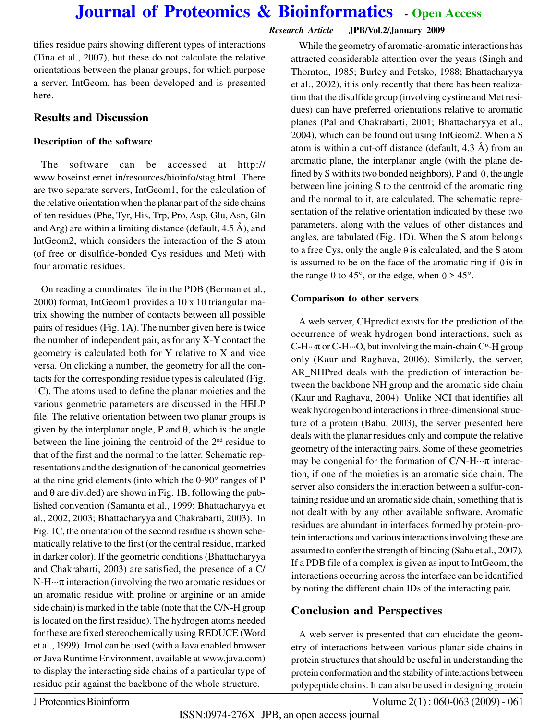#### *Research Article* **JPB/Vol.2/January 2009**

tifies residue pairs showing different types of interactions (Tina et al., 2007), but these do not calculate the relative orientations between the planar groups, for which purpose a server, IntGeom, has been developed and is presented here.

#### **Results and Discussion**

#### **Description of the software**

The software can be accessed at http:// www.boseinst.ernet.in/resources/bioinfo/stag.html. There are two separate servers, IntGeom1, for the calculation of the relative orientation when the planar part of the side chains of ten residues (Phe, Tyr, His, Trp, Pro, Asp, Glu, Asn, Gln and Arg) are within a limiting distance (default,  $4.5 \text{ Å}$ ), and IntGeom2, which considers the interaction of the S atom (of free or disulfide-bonded Cys residues and Met) with four aromatic residues.

On reading a coordinates file in the PDB (Berman et al., 2000) format, IntGeom1 provides a 10 x 10 triangular matrix showing the number of contacts between all possible pairs of residues (Fig. 1A). The number given here is twice the number of independent pair, as for any X-Y contact the geometry is calculated both for Y relative to X and vice versa. On clicking a number, the geometry for all the contacts for the corresponding residue types is calculated (Fig. 1C). The atoms used to define the planar moieties and the various geometric parameters are discussed in the HELP file. The relative orientation between two planar groups is given by the interplanar angle, P and  $\theta$ , which is the angle between the line joining the centroid of the  $2<sup>nd</sup>$  residue to that of the first and the normal to the latter. Schematic representations and the designation of the canonical geometries at the nine grid elements (into which the 0-90° ranges of P and  $\theta$  are divided) are shown in Fig. 1B, following the published convention (Samanta et al., 1999; Bhattacharyya et al., 2002, 2003; Bhattacharyya and Chakrabarti, 2003). In Fig. 1C, the orientation of the second residue is shown schematically relative to the first (or the central residue, marked in darker color). If the geometric conditions (Bhattacharyya and Chakrabarti, 2003) are satisfied, the presence of a C/  $N-H\cdots\pi$  interaction (involving the two aromatic residues or an aromatic residue with proline or arginine or an amide side chain) is marked in the table (note that the C/N-H group is located on the first residue). The hydrogen atoms needed for these are fixed stereochemically using REDUCE (Word et al., 1999). Jmol can be used (with a Java enabled browser or Java Runtime Environment, available at www.java.com) to display the interacting side chains of a particular type of residue pair against the backbone of the whole structure.

While the geometry of aromatic-aromatic interactions has attracted considerable attention over the years (Singh and Thornton, 1985; Burley and Petsko, 1988; Bhattacharyya et al., 2002), it is only recently that there has been realization that the disulfide group (involving cystine and Met residues) can have preferred orientations relative to aromatic planes (Pal and Chakrabarti, 2001; Bhattacharyya et al., 2004), which can be found out using IntGeom2. When a S atom is within a cut-off distance (default,  $4.3 \text{ Å}$ ) from an aromatic plane, the interplanar angle (with the plane defined by S with its two bonded neighbors), P and  $\theta$ , the angle between line joining S to the centroid of the aromatic ring and the normal to it, are calculated. The schematic representation of the relative orientation indicated by these two parameters, along with the values of other distances and angles, are tabulated (Fig. 1D). When the S atom belongs to a free Cys, only the angle  $\theta$  is calculated, and the S atom is assumed to be on the face of the aromatic ring if  $\theta$  is in the range 0 to 45°, or the edge, when  $\theta > 45$ °.

#### **Comparison to other servers**

A web server, CHpredict exists for the prediction of the occurrence of weak hydrogen bond interactions, such as C-H $\cdots$ π or C-H $\cdots$ O, but involving the main-chain C<sup> $\alpha$ </sup>-H group only (Kaur and Raghava, 2006). Similarly, the server, AR\_NHPred deals with the prediction of interaction between the backbone NH group and the aromatic side chain (Kaur and Raghava, 2004). Unlike NCI that identifies all weak hydrogen bond interactions in three-dimensional structure of a protein (Babu, 2003), the server presented here deals with the planar residues only and compute the relative geometry of the interacting pairs. Some of these geometries may be congenial for the formation of  $C/N-H\cdots\pi$  interaction, if one of the moieties is an aromatic side chain. The server also considers the interaction between a sulfur-containing residue and an aromatic side chain, something that is not dealt with by any other available software. Aromatic residues are abundant in interfaces formed by protein-protein interactions and various interactions involving these are assumed to confer the strength of binding (Saha et al., 2007). If a PDB file of a complex is given as input to IntGeom, the interactions occurring across the interface can be identified by noting the different chain IDs of the interacting pair.

### **Conclusion and Perspectives**

A web server is presented that can elucidate the geometry of interactions between various planar side chains in protein structures that should be useful in understanding the protein conformation and the stability of interactions between polypeptide chains. It can also be used in designing protein

J Proteomics Bioinform Volume 2(1) : 060-063 (2009) - 061

ISSN:0974-276X JPB, an open access journal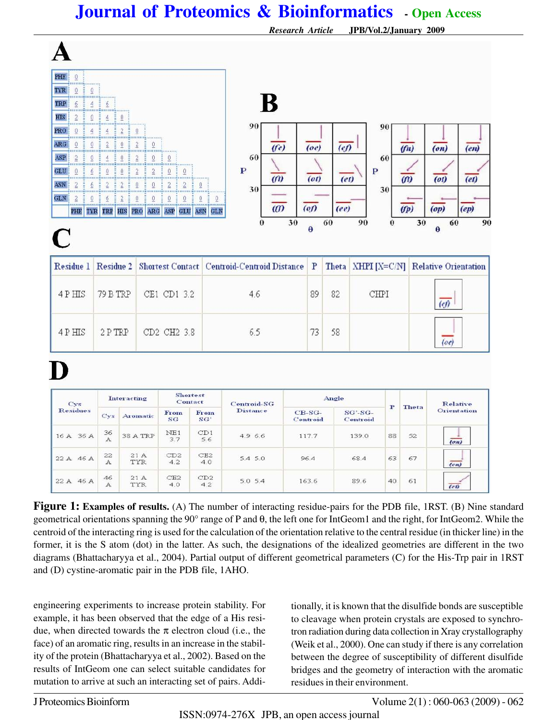|                                                                                                                                                                                                                                                                                                                                                                                                                                      |                                                                                                                                                                                                                                                                                                                                                                                                                 |                                                                                                                                |                                                                                                                                                                                                      |                                                                                                                                  |                                              |                                                                       | <b>Research Article</b><br>JPB/Vol.2/January 2009 |                                     |                                                     |                                |                     |                          |                                        |                                                      |  |
|--------------------------------------------------------------------------------------------------------------------------------------------------------------------------------------------------------------------------------------------------------------------------------------------------------------------------------------------------------------------------------------------------------------------------------------|-----------------------------------------------------------------------------------------------------------------------------------------------------------------------------------------------------------------------------------------------------------------------------------------------------------------------------------------------------------------------------------------------------------------|--------------------------------------------------------------------------------------------------------------------------------|------------------------------------------------------------------------------------------------------------------------------------------------------------------------------------------------------|----------------------------------------------------------------------------------------------------------------------------------|----------------------------------------------|-----------------------------------------------------------------------|---------------------------------------------------|-------------------------------------|-----------------------------------------------------|--------------------------------|---------------------|--------------------------|----------------------------------------|------------------------------------------------------|--|
| PHE<br>$\theta$<br><br>--------<br>$\theta$<br>TYR<br>0 <sub>1</sub><br><b>TRP</b><br>6<br>$\overline{4}$<br>,,,,,,,,,,,,,,,,,,,,,,,,,,,,<br>HIS<br>$\overline{2}$<br>$\theta$<br>PRO<br>$\theta$<br>$\overline{4}$<br>ARG<br>$\theta$<br>$\theta$<br>111111<br>11111<br>ASP<br>$\overline{2}$<br>$\theta$<br><b>THEFT</b><br>GLU<br>$\theta$<br>6<br>ASN<br>$\overline{2}$<br>6<br>111111<br>GLN<br>$\overline{2}$<br>0<br>PHE<br>C | ÷<br>6<br>ŧ<br>$\overline{4}$<br><u>0.000 monument of the contract of the set of the set of the set of the set of the set of the set of the set of the set of the set of the set of the set of the set of the set of the set of the set of the set of the set of </u><br>$\overline{4}$<br>÷<br>i E<br>$\overline{2}$<br>111111<br>4<br><br>÷<br>$\theta$<br>ŧ<br>$\overline{2}$<br>6<br><b>TYR TRP HIS PRO</b> | $\mathbf 0$<br>$\overline{c}$<br>Ð<br>0<br>11111<br>$\mathbf 0$<br>mm<br>ŧ<br>$\mathbf{0}$<br>$\overline{2}$<br>$\overline{2}$ | $\mathbf 0$<br>$\boldsymbol{2}$<br>0<br><br><br>$\overline{2}$<br>$\mathbf 0$<br>un<br>11111<br>$\overline{2}$<br>$\overline{2}$<br>Ě<br>$\overline{0}$<br>$\ddot{0}$<br>$\underline{0}$<br>0<br>ARG | E<br>0<br><b>HILL</b><br>Ě<br>0<br>E<br>$\mathbb O$<br>$\overline{2}$<br>$\overline{2}$<br>$\overline{0}$<br>$\theta$<br>ASP GLU | $\theta$<br>*******<br>$\overline{0}$<br>ASN | 90<br>60<br>$\mathbf{P}$<br>30<br>$\boldsymbol{0}$<br>GLN<br>$\bf{0}$ | B<br>(f <sub>e</sub> )<br>(n)<br>$\omega$<br>30   | (oe)<br>(ot)<br>$($ of)<br>$\theta$ | $\overline{(e)}$<br>(e <sub>t</sub> )<br>(ee)<br>60 | $\mathbf P$<br>90              | 90<br>60<br>30<br>0 | f(n)<br>(n)<br>(p)<br>30 | (0n)<br>(ot)<br>(op)<br>60<br>$\theta$ | (en)<br>$\overline{(et)}$<br>$\left(ep\right)$<br>90 |  |
| Residue 1                                                                                                                                                                                                                                                                                                                                                                                                                            | Residue 2                                                                                                                                                                                                                                                                                                                                                                                                       |                                                                                                                                |                                                                                                                                                                                                      |                                                                                                                                  |                                              | Shortest Contact   Centroid-Centroid Distance                         |                                                   |                                     | Theta                                               |                                |                     |                          | XHPI [X=C/N] Relative Orientation      |                                                      |  |
| 4 PHIS                                                                                                                                                                                                                                                                                                                                                                                                                               | 79 B TRP                                                                                                                                                                                                                                                                                                                                                                                                        |                                                                                                                                | CE1 CD1 3.2                                                                                                                                                                                          |                                                                                                                                  |                                              | 4.6                                                                   |                                                   |                                     | 82                                                  | CHPI                           |                     |                          | $\overline{(\text{e}t)}$               |                                                      |  |
| 4 PHIS                                                                                                                                                                                                                                                                                                                                                                                                                               | 2PTRP                                                                                                                                                                                                                                                                                                                                                                                                           |                                                                                                                                | CD2 CH2 3.8                                                                                                                                                                                          |                                                                                                                                  |                                              | 6.5                                                                   |                                                   |                                     | 58                                                  | (oe)                           |                     |                          |                                        |                                                      |  |
| Cys<br><b>Residues</b>                                                                                                                                                                                                                                                                                                                                                                                                               | Interacting<br>Cys                                                                                                                                                                                                                                                                                                                                                                                              |                                                                                                                                | <b>Shortest</b><br>Contact<br>From<br>Aromatic<br>SG                                                                                                                                                 |                                                                                                                                  | From<br>SG <sup>*</sup>                      | <b>Centroid-SG</b><br><b>Distance</b>                                 |                                                   | CB-SG-<br>Centroid                  |                                                     | Angle<br>$SG'-SG-$<br>Centroid |                     | <b>Theta</b>             | <b>Relative</b><br><b>Orientation</b>  |                                                      |  |
| 16 A 36 A                                                                                                                                                                                                                                                                                                                                                                                                                            | 36<br>A                                                                                                                                                                                                                                                                                                                                                                                                         |                                                                                                                                | NE1<br>38 A TRP<br>3.7                                                                                                                                                                               |                                                                                                                                  | CD1<br>5.6                                   | 4.9 6.6                                                               |                                                   | 117.7                               |                                                     | 139.0                          |                     | 52                       |                                        | (on)                                                 |  |
| 22 A 46 A                                                                                                                                                                                                                                                                                                                                                                                                                            | 22<br>А                                                                                                                                                                                                                                                                                                                                                                                                         |                                                                                                                                | CD <sub>2</sub><br>21A<br><b>TYR</b><br>4.2                                                                                                                                                          |                                                                                                                                  | CE2<br>4.0                                   | 5.45.0                                                                |                                                   | 96.4<br>68.4                        |                                                     |                                | 63                  | 67                       | (en)                                   |                                                      |  |
| 22 A 46 A                                                                                                                                                                                                                                                                                                                                                                                                                            | 46<br>A                                                                                                                                                                                                                                                                                                                                                                                                         |                                                                                                                                | 21A<br>TYR                                                                                                                                                                                           | CE2<br>4.0                                                                                                                       | CD2<br>4.2                                   | 5.05.4                                                                |                                                   | 163.6                               |                                                     | 89.6                           | 40                  | 61                       | $\overline{(e)}$                       |                                                      |  |

**Figure 1:** Examples of results. (A) The number of interacting residue-pairs for the PDB file, 1RST. (B) Nine standard geometrical orientations spanning the 90° range of P and θ, the left one for IntGeom1 and the right, for IntGeom2. While the centroid of the interacting ring is used for the calculation of the orientation relative to the central residue (in thicker line) in the former, it is the S atom (dot) in the latter. As such, the designations of the idealized geometries are different in the two diagrams (Bhattacharyya et al., 2004). Partial output of different geometrical parameters (C) for the His-Trp pair in 1RST and (D) cystine-aromatic pair in the PDB file, 1AHO.

engineering experiments to increase protein stability. For example, it has been observed that the edge of a His residue, when directed towards the  $\pi$  electron cloud (i.e., the face) of an aromatic ring, results in an increase in the stability of the protein (Bhattacharyya et al., 2002). Based on the results of IntGeom one can select suitable candidates for mutation to arrive at such an interacting set of pairs. Addi-

tionally, it is known that the disulfide bonds are susceptible to cleavage when protein crystals are exposed to synchrotron radiation during data collection in Xray crystallography (Weik et al., 2000). One can study if there is any correlation between the degree of susceptibility of different disulfide bridges and the geometry of interaction with the aromatic residues in their environment.

J Proteomics Bioinform Volume 2(1) : 060-063 (2009) - 062

ISSN:0974-276X JPB, an open access journal